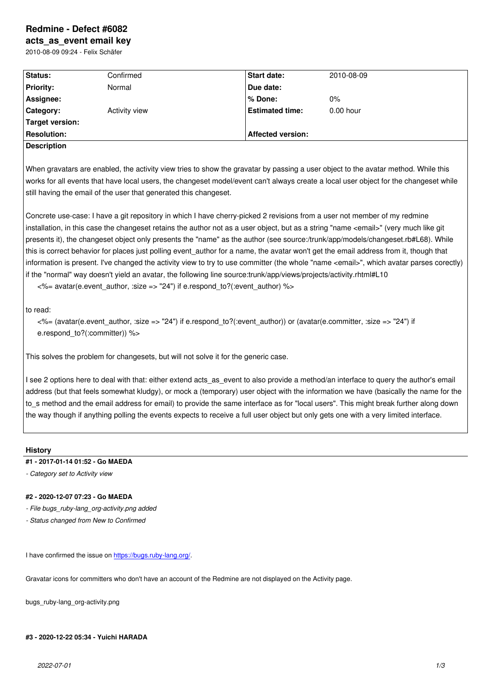#### **acts\_as\_event email key**

2010-08-09 09:24 - Felix Schäfer

| Status:            | Confirmed     | <b>Start date:</b>       | 2010-08-09  |  |
|--------------------|---------------|--------------------------|-------------|--|
| <b>Priority:</b>   | Normal        | Due date:                |             |  |
| Assignee:          |               | l% Done:                 | $0\%$       |  |
| <b>Category:</b>   | Activity view | <b>Estimated time:</b>   | $0.00$ hour |  |
| Target version:    |               |                          |             |  |
| <b>Resolution:</b> |               | <b>Affected version:</b> |             |  |
| <b>Description</b> |               |                          |             |  |

When gravatars are enabled, the activity view tries to show the gravatar by passing a user object to the avatar method. While this works for all events that have local users, the changeset model/event can't always create a local user object for the changeset while still having the email of the user that generated this changeset.

Concrete use-case: I have a git repository in which I have cherry-picked 2 revisions from a user not member of my redmine installation, in this case the changeset retains the author not as a user object, but as a string "name <email>" (very much like git presents it), the changeset object only presents the "name" as the author (see source:/trunk/app/models/changeset.rb#L68). While this is correct behavior for places just polling event author for a name, the avatar won't get the email address from it, though that information is present. I've changed the activity view to try to use committer (the whole "name <email>", which avatar parses corectly) if the "normal" way doesn't yield an avatar, the following line source:trunk/app/views/projects/activity.rhtml#L10

<%= avatar(e.event\_author, :size => "24") if e.respond\_to?(:event\_author) %>

to read:

<%= (avatar(e.event\_author, :size => "24") if e.respond\_to?(:event\_author)) or (avatar(e.committer, :size => "24") if e.respond\_to?(:committer)) %>

This solves the problem for changesets, but will not solve it for the generic case.

I see 2 options here to deal with that: either extend acts as event to also provide a method/an interface to query the author's email address (but that feels somewhat kludgy), or mock a (temporary) user object with the information we have (basically the name for the to\_s method and the email address for email) to provide the same interface as for "local users". This might break further along down the way though if anything polling the events expects to receive a full user object but only gets one with a very limited interface.

## **History**

## **#1 - 2017-01-14 01:52 - Go MAEDA**

*- Category set to Activity view*

### **#2 - 2020-12-07 07:23 - Go MAEDA**

- *File bugs\_ruby-lang\_org-activity.png added*
- *Status changed from New to Confirmed*

I have confirmed the issue on https://bugs.ruby-lang.org/.

Gravatar icons for committers who don't have an account of the Redmine are not displayed on the Activity page.

bugs\_ruby-lang\_org-activity.p[ng](https://bugs.ruby-lang.org/)

### **#3 - 2020-12-22 05:34 - Yuichi HARADA**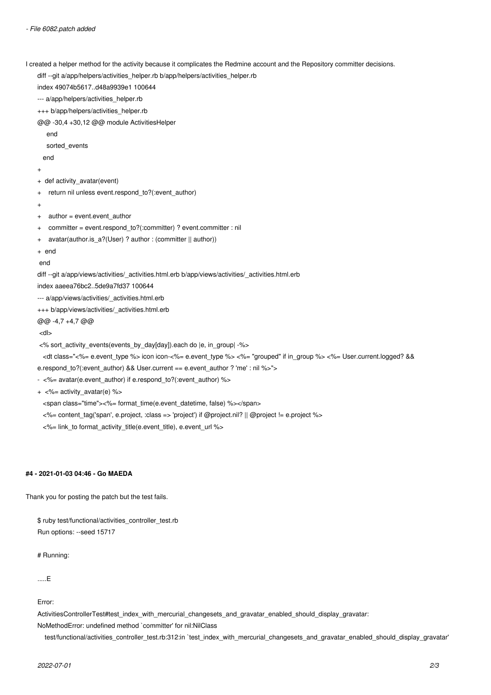I created a helper method for the activity because it complicates the Redmine account and the Repository committer decisions.

diff --git a/app/helpers/activities\_helper.rb b/app/helpers/activities\_helper.rb

index 49074b5617..d48a9939e1 100644

--- a/app/helpers/activities\_helper.rb

+++ b/app/helpers/activities\_helper.rb

@@ -30,4 +30,12 @@ module ActivitiesHelper

end

sorted\_events

end

```
+
+ def activity_avatar(event)
```
- + return nil unless event.respond\_to?(:event\_author)
- +

```
+ author = event.event_author
```
- + committer = event.respond\_to?(:committer) ? event.committer : nil
- + avatar(author.is\_a?(User) ? author : (committer || author))
- + end

end

diff --git a/app/views/activities/\_activities.html.erb b/app/views/activities/\_activities.html.erb

index aaeea76bc2..5de9a7fd37 100644

--- a/app/views/activities/\_activities.html.erb

+++ b/app/views/activities/\_activities.html.erb

@@ -4,7 +4,7 @@

<dl>

<% sort\_activity\_events(events\_by\_day[day]).each do |e, in\_group| -%>

 <dt class="<%= e.event\_type %> icon icon-<%= e.event\_type %> <%= "grouped" if in\_group %> <%= User.current.logged? && e.respond\_to?(:event\_author) && User.current == e.event\_author ? 'me' : nil %>">

- <%= avatar(e.event\_author) if e.respond\_to?(:event\_author) %>

 $+ <\frac{9}{6}$  activity avatar(e) %>

<span class="time"><%= format\_time(e.event\_datetime, false) %></span>

- <%= content\_tag('span', e.project, :class => 'project') if @project.nil? || @project != e.project %>
- <%= link\_to format\_activity\_title(e.event\_title), e.event\_url %>

# **#4 - 2021-01-03 04:46 - Go MAEDA**

Thank you for posting the patch but the test fails.

\$ ruby test/functional/activities\_controller\_test.rb Run options: --seed 15717

# Running:

.....E

Error:

ActivitiesControllerTest#test\_index\_with\_mercurial\_changesets\_and\_gravatar\_enabled\_should\_display\_gravatar:

NoMethodError: undefined method `committer' for nil:NilClass

test/functional/activities\_controller\_test.rb:312:in `test\_index\_with\_mercurial\_changesets\_and\_gravatar\_enabled\_should\_display\_gravatar'